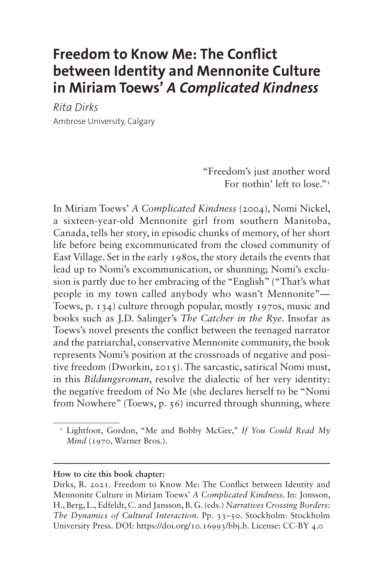# **Freedom to Know Me: The Conflict between Identity and Mennonite Culture in Miriam Toews'** *A Complicated Kindness*

*Rita Dirks* Ambrose University, Calgary

> "Freedom's just another word For nothin' left to lose."<sup>1</sup>

In Miriam Toews' *A Complicated Kindness* (2004), Nomi Nickel, a sixteen-year-old Mennonite girl from southern Manitoba, Canada, tells her story, in episodic chunks of memory, of her short life before being excommunicated from the closed community of East Village. Set in the early 1980s, the story details the events that lead up to Nomi's excommunication, or shunning; Nomi's exclusion is partly due to her embracing of the "English" ("That's what people in my town called anybody who wasn't Mennonite"— Toews, p. 134) culture through popular, mostly 1970s, music and books such as J.D. Salinger's *The Catcher in the Rye*. Insofar as Toews's novel presents the conflict between the teenaged narrator and the patriarchal, conservative Mennonite community, the book represents Nomi's position at the crossroads of negative and positive freedom (Dworkin, 2015). The sarcastic, satirical Nomi must, in this *Bildungsroman*, resolve the dialectic of her very identity: the negative freedom of No Me (she declares herself to be "Nomi from Nowhere" (Toews, p. 56) incurred through shunning, where

**How to cite this book chapter:**

<span id="page-0-0"></span><sup>&</sup>lt;sup>1</sup> Lightfoot, Gordon, "Me and Bobby McGee," If You Could Read My *Mind* (1970, Warner Bros.).

Dirks, R. 2021. Freedom to Know Me: The Conflict between Identity and Mennonite Culture in Miriam Toews' *A Complicated Kindness*. In: Jonsson, H., Berg, L., Edfeldt, C. and Jansson, B. G. (eds.) *Narratives Crossing Borders: The Dynamics of Cultural Interaction.* Pp. 33–50. Stockholm: Stockholm University Press. DOI: [https://doi.org/10.16993/bbj.b.](https://doi.org/10.16993/bbj.b) License: CC-BY 4.0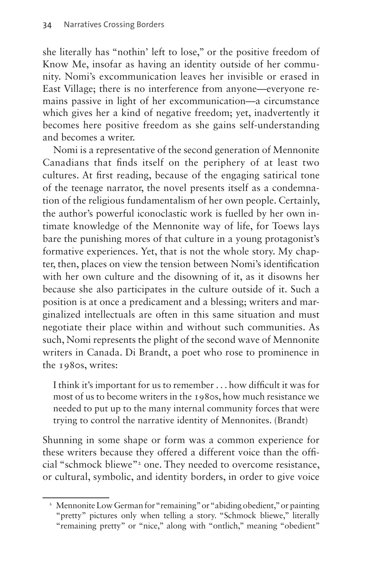she literally has "nothin' left to lose," or the positive freedom of Know Me, insofar as having an identity outside of her community. Nomi's excommunication leaves her invisible or erased in East Village; there is no interference from anyone—everyone remains passive in light of her excommunication—a circumstance which gives her a kind of negative freedom; yet, inadvertently it becomes here positive freedom as she gains self-understanding and becomes a writer.

Nomi is a representative of the second generation of Mennonite Canadians that finds itself on the periphery of at least two cultures. At first reading, because of the engaging satirical tone of the teenage narrator, the novel presents itself as a condemnation of the religious fundamentalism of her own people. Certainly, the author's powerful iconoclastic work is fuelled by her own intimate knowledge of the Mennonite way of life, for Toews lays bare the punishing mores of that culture in a young protagonist's formative experiences. Yet, that is not the whole story. My chapter, then, places on view the tension between Nomi's identification with her own culture and the disowning of it, as it disowns her because she also participates in the culture outside of it. Such a position is at once a predicament and a blessing; writers and marginalized intellectuals are often in this same situation and must negotiate their place within and without such communities. As such, Nomi represents the plight of the second wave of Mennonite writers in Canada. Di Brandt, a poet who rose to prominence in the 1980s, writes:

I think it's important for us to remember . . . how difficult it was for most of us to become writers in the 1980s, how much resistance we needed to put up to the many internal community forces that were trying to control the narrative identity of Mennonites. (Brandt)

Shunning in some shape or form was a common experience for these writers because they offered a different voice than the offi-cial "schmock bliewe"<sup>[2](#page-1-0)</sup> one. They needed to overcome resistance, or cultural, symbolic, and identity borders, in order to give voice

<span id="page-1-0"></span><sup>&</sup>lt;sup>2</sup> Mennonite Low German for "remaining" or "abiding obedient," or painting "pretty" pictures only when telling a story. "Schmock bliewe," literally "remaining pretty" or "nice," along with "ontlich," meaning "obedient"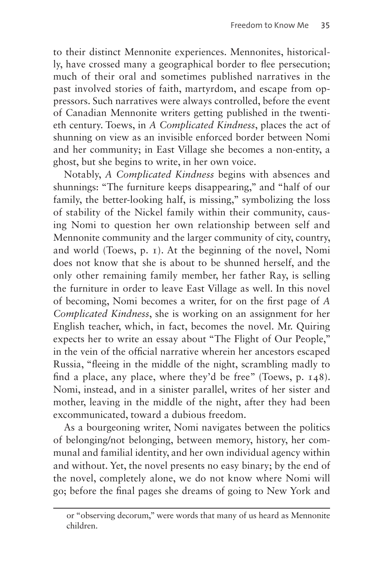to their distinct Mennonite experiences. Mennonites, historically, have crossed many a geographical border to flee persecution; much of their oral and sometimes published narratives in the past involved stories of faith, martyrdom, and escape from oppressors. Such narratives were always controlled, before the event of Canadian Mennonite writers getting published in the twentieth century. Toews, in *A Complicated Kindness*, places the act of shunning on view as an invisible enforced border between Nomi and her community; in East Village she becomes a non-entity, a ghost, but she begins to write, in her own voice.

Notably, *A Complicated Kindness* begins with absences and shunnings: "The furniture keeps disappearing," and "half of our family, the better-looking half, is missing," symbolizing the loss of stability of the Nickel family within their community, causing Nomi to question her own relationship between self and Mennonite community and the larger community of city, country, and world (Toews, p. 1). At the beginning of the novel, Nomi does not know that she is about to be shunned herself, and the only other remaining family member, her father Ray, is selling the furniture in order to leave East Village as well. In this novel of becoming, Nomi becomes a writer, for on the first page of *A Complicated Kindness*, she is working on an assignment for her English teacher, which, in fact, becomes the novel. Mr. Quiring expects her to write an essay about "The Flight of Our People," in the vein of the official narrative wherein her ancestors escaped Russia, "fleeing in the middle of the night, scrambling madly to find a place, any place, where they'd be free" (Toews, p. 148). Nomi, instead, and in a sinister parallel, writes of her sister and mother, leaving in the middle of the night, after they had been excommunicated, toward a dubious freedom.

As a bourgeoning writer, Nomi navigates between the politics of belonging/not belonging, between memory, history, her communal and familial identity, and her own individual agency within and without. Yet, the novel presents no easy binary; by the end of the novel, completely alone, we do not know where Nomi will go; before the final pages she dreams of going to New York and

or "observing decorum," were words that many of us heard as Mennonite children.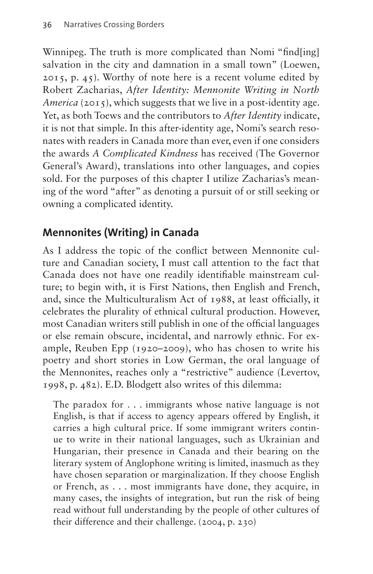Winnipeg. The truth is more complicated than Nomi "find[ing] salvation in the city and damnation in a small town" (Loewen, 2015, p. 45). Worthy of note here is a recent volume edited by Robert Zacharias, *After Identity: Mennonite Writing in North America* (2015), which suggests that we live in a post-identity age. Yet, as both Toews and the contributors to *After Identity* indicate, it is not that simple. In this after-identity age, Nomi's search resonates with readers in Canada more than ever, even if one considers the awards *A Complicated Kindness* has received (The Governor General's Award), translations into other languages, and copies sold. For the purposes of this chapter I utilize Zacharias's meaning of the word "after" as denoting a pursuit of or still seeking or owning a complicated identity.

# **Mennonites (Writing) in Canada**

As I address the topic of the conflict between Mennonite culture and Canadian society, I must call attention to the fact that Canada does not have one readily identifiable mainstream culture; to begin with, it is First Nations, then English and French, and, since the Multiculturalism Act of 1988, at least officially, it celebrates the plurality of ethnical cultural production. However, most Canadian writers still publish in one of the official languages or else remain obscure, incidental, and narrowly ethnic. For example, Reuben Epp (1920–2009), who has chosen to write his poetry and short stories in Low German, the oral language of the Mennonites, reaches only a "restrictive" audience (Levertov, 1998, p. 482). E.D. Blodgett also writes of this dilemma:

The paradox for . . . immigrants whose native language is not English, is that if access to agency appears offered by English, it carries a high cultural price. If some immigrant writers continue to write in their national languages, such as Ukrainian and Hungarian, their presence in Canada and their bearing on the literary system of Anglophone writing is limited, inasmuch as they have chosen separation or marginalization. If they choose English or French, as . . . most immigrants have done, they acquire, in many cases, the insights of integration, but run the risk of being read without full understanding by the people of other cultures of their difference and their challenge. (2004, p. 230)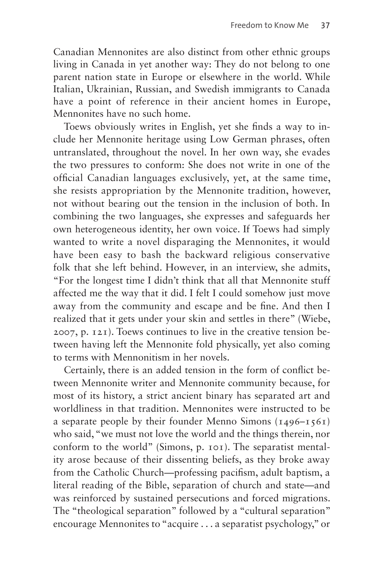Canadian Mennonites are also distinct from other ethnic groups living in Canada in yet another way: They do not belong to one parent nation state in Europe or elsewhere in the world. While Italian, Ukrainian, Russian, and Swedish immigrants to Canada have a point of reference in their ancient homes in Europe, Mennonites have no such home.

Toews obviously writes in English, yet she finds a way to include her Mennonite heritage using Low German phrases, often untranslated, throughout the novel. In her own way, she evades the two pressures to conform: She does not write in one of the official Canadian languages exclusively, yet, at the same time, she resists appropriation by the Mennonite tradition, however, not without bearing out the tension in the inclusion of both. In combining the two languages, she expresses and safeguards her own heterogeneous identity, her own voice. If Toews had simply wanted to write a novel disparaging the Mennonites, it would have been easy to bash the backward religious conservative folk that she left behind. However, in an interview, she admits, "For the longest time I didn't think that all that Mennonite stuff affected me the way that it did. I felt I could somehow just move away from the community and escape and be fine. And then I realized that it gets under your skin and settles in there" (Wiebe, 2007, p. 121). Toews continues to live in the creative tension between having left the Mennonite fold physically, yet also coming to terms with Mennonitism in her novels.

Certainly, there is an added tension in the form of conflict between Mennonite writer and Mennonite community because, for most of its history, a strict ancient binary has separated art and worldliness in that tradition. Mennonites were instructed to be a separate people by their founder Menno Simons  $(1496 - 1561)$ who said, "we must not love the world and the things therein, nor conform to the world" (Simons, p. 101). The separatist mentality arose because of their dissenting beliefs, as they broke away from the Catholic Church—professing pacifism, adult baptism, a literal reading of the Bible, separation of church and state—and was reinforced by sustained persecutions and forced migrations. The "theological separation" followed by a "cultural separation" encourage Mennonites to "acquire . . . a separatist psychology," or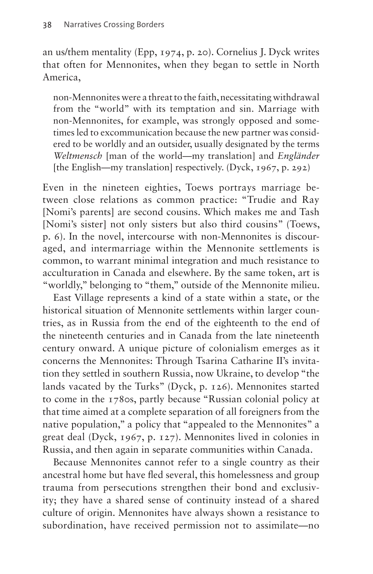an us/them mentality (Epp, 1974, p. 20). Cornelius J. Dyck writes that often for Mennonites, when they began to settle in North America,

non-Mennonites were a threat to the faith, necessitating withdrawal from the "world" with its temptation and sin. Marriage with non-Mennonites, for example, was strongly opposed and sometimes led to excommunication because the new partner was considered to be worldly and an outsider, usually designated by the terms *Weltmensch* [man of the world—my translation] and *Engländer*  [the English—my translation] respectively. (Dyck, 1967, p. 292)

Even in the nineteen eighties, Toews portrays marriage between close relations as common practice: "Trudie and Ray [Nomi's parents] are second cousins. Which makes me and Tash [Nomi's sister] not only sisters but also third cousins" (Toews, p. 6). In the novel, intercourse with non-Mennonites is discouraged, and intermarriage within the Mennonite settlements is common, to warrant minimal integration and much resistance to acculturation in Canada and elsewhere. By the same token, art is "worldly," belonging to "them," outside of the Mennonite milieu.

East Village represents a kind of a state within a state, or the historical situation of Mennonite settlements within larger countries, as in Russia from the end of the eighteenth to the end of the nineteenth centuries and in Canada from the late nineteenth century onward. A unique picture of colonialism emerges as it concerns the Mennonites: Through Tsarina Catharine II's invitation they settled in southern Russia, now Ukraine, to develop "the lands vacated by the Turks" (Dyck, p. 126). Mennonites started to come in the 1780s, partly because "Russian colonial policy at that time aimed at a complete separation of all foreigners from the native population," a policy that "appealed to the Mennonites" a great deal (Dyck, 1967, p. 127). Mennonites lived in colonies in Russia, and then again in separate communities within Canada.

Because Mennonites cannot refer to a single country as their ancestral home but have fled several, this homelessness and group trauma from persecutions strengthen their bond and exclusivity; they have a shared sense of continuity instead of a shared culture of origin. Mennonites have always shown a resistance to subordination, have received permission not to assimilate—no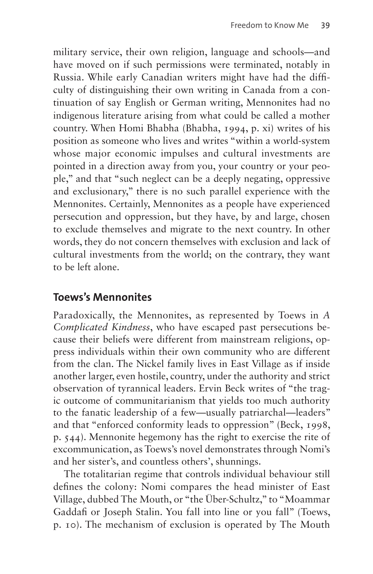military service, their own religion, language and schools—and have moved on if such permissions were terminated, notably in Russia. While early Canadian writers might have had the difficulty of distinguishing their own writing in Canada from a continuation of say English or German writing, Mennonites had no indigenous literature arising from what could be called a mother country. When Homi Bhabha (Bhabha, 1994, p. xi) writes of his position as someone who lives and writes "within a world-system whose major economic impulses and cultural investments are pointed in a direction away from you, your country or your people," and that "such neglect can be a deeply negating, oppressive and exclusionary," there is no such parallel experience with the Mennonites. Certainly, Mennonites as a people have experienced persecution and oppression, but they have, by and large, chosen to exclude themselves and migrate to the next country. In other words, they do not concern themselves with exclusion and lack of cultural investments from the world; on the contrary, they want to be left alone.

## **Toews's Mennonites**

Paradoxically, the Mennonites, as represented by Toews in *A Complicated Kindness*, who have escaped past persecutions because their beliefs were different from mainstream religions, oppress individuals within their own community who are different from the clan. The Nickel family lives in East Village as if inside another larger, even hostile, country, under the authority and strict observation of tyrannical leaders. Ervin Beck writes of "the tragic outcome of communitarianism that yields too much authority to the fanatic leadership of a few—usually patriarchal—leaders" and that "enforced conformity leads to oppression" (Beck, 1998, p. 544). Mennonite hegemony has the right to exercise the rite of excommunication, as Toews's novel demonstrates through Nomi's and her sister's, and countless others', shunnings.

The totalitarian regime that controls individual behaviour still defines the colony: Nomi compares the head minister of East Village, dubbed The Mouth, or "the Über-Schultz," to "Moammar Gaddafi or Joseph Stalin. You fall into line or you fall" (Toews, p. 10). The mechanism of exclusion is operated by The Mouth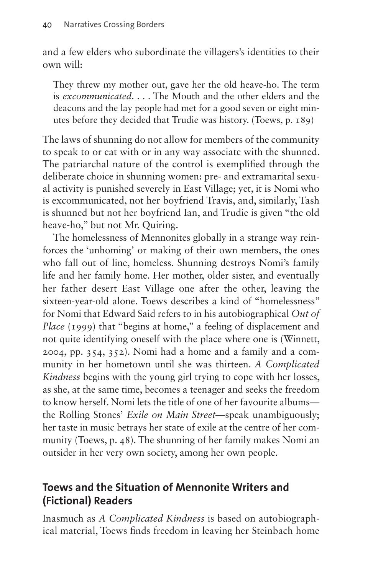and a few elders who subordinate the villagers's identities to their own will:

They threw my mother out, gave her the old heave-ho. The term is *excommunicated*. . . . The Mouth and the other elders and the deacons and the lay people had met for a good seven or eight minutes before they decided that Trudie was history. (Toews, p. 189)

The laws of shunning do not allow for members of the community to speak to or eat with or in any way associate with the shunned. The patriarchal nature of the control is exemplified through the deliberate choice in shunning women: pre- and extramarital sexual activity is punished severely in East Village; yet, it is Nomi who is excommunicated, not her boyfriend Travis, and, similarly, Tash is shunned but not her boyfriend Ian, and Trudie is given "the old heave-ho," but not Mr. Quiring.

The homelessness of Mennonites globally in a strange way reinforces the 'unhoming' or making of their own members, the ones who fall out of line, homeless. Shunning destroys Nomi's family life and her family home. Her mother, older sister, and eventually her father desert East Village one after the other, leaving the sixteen-year-old alone. Toews describes a kind of "homelessness" for Nomi that Edward Said refers to in his autobiographical *Out of Place* (1999) that "begins at home," a feeling of displacement and not quite identifying oneself with the place where one is (Winnett, 2004, pp. 354, 352). Nomi had a home and a family and a community in her hometown until she was thirteen. *A Complicated Kindness* begins with the young girl trying to cope with her losses, as she, at the same time, becomes a teenager and seeks the freedom to know herself. Nomi lets the title of one of her favourite albums the Rolling Stones' *Exile on Main Street*—speak unambiguously; her taste in music betrays her state of exile at the centre of her community (Toews, p. 48). The shunning of her family makes Nomi an outsider in her very own society, among her own people.

# **Toews and the Situation of Mennonite Writers and (Fictional) Readers**

Inasmuch as *A Complicated Kindness* is based on autobiographical material, Toews finds freedom in leaving her Steinbach home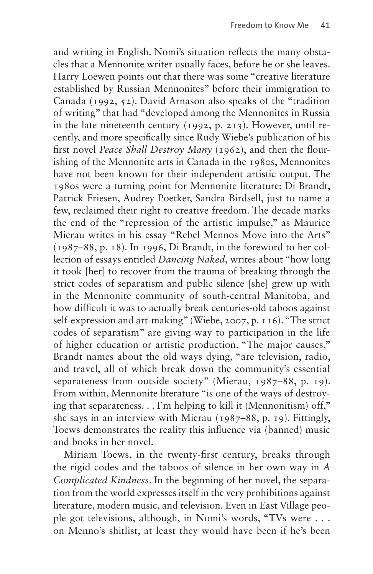and writing in English. Nomi's situation reflects the many obstacles that a Mennonite writer usually faces, before he or she leaves. Harry Loewen points out that there was some "creative literature established by Russian Mennonites" before their immigration to Canada (1992, 52). David Arnason also speaks of the "tradition of writing" that had "developed among the Mennonites in Russia in the late nineteenth century (1992, p. 213). However, until recently, and more specifically since Rudy Wiebe's publication of his first novel *Peace Shall Destroy Many* (1962), and then the flourishing of the Mennonite arts in Canada in the 1980s, Mennonites have not been known for their independent artistic output. The 1980s were a turning point for Mennonite literature: Di Brandt, Patrick Friesen, Audrey Poetker, Sandra Birdsell, just to name a few, reclaimed their right to creative freedom. The decade marks the end of the "repression of the artistic impulse," as Maurice Mierau writes in his essay "Rebel Mennos Move into the Arts" (1987–88, p. 18). In 1996, Di Brandt, in the foreword to her collection of essays entitled *Dancing Naked*, writes about "how long it took [her] to recover from the trauma of breaking through the strict codes of separatism and public silence [she] grew up with in the Mennonite community of south-central Manitoba, and how difficult it was to actually break centuries-old taboos against self-expression and art-making" (Wiebe, 2007, p. 116). "The strict codes of separatism" are giving way to participation in the life of higher education or artistic production. "The major causes," Brandt names about the old ways dying, "are television, radio, and travel, all of which break down the community's essential separateness from outside society" (Mierau, 1987–88, p. 19). From within, Mennonite literature "is one of the ways of destroying that separateness. . . I'm helping to kill it (Mennonitism) off," she says in an interview with Mierau (1987–88, p. 19). Fittingly, Toews demonstrates the reality this influence via (banned) music and books in her novel.

Miriam Toews, in the twenty-first century, breaks through the rigid codes and the taboos of silence in her own way in *A Complicated Kindness*. In the beginning of her novel, the separation from the world expresses itself in the very prohibitions against literature, modern music, and television. Even in East Village people got televisions, although, in Nomi's words, "TVs were . . . on Menno's shitlist, at least they would have been if he's been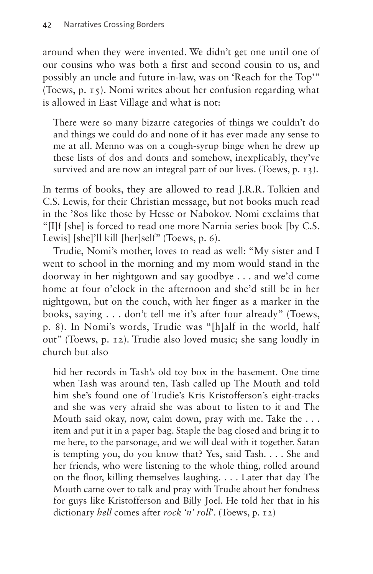around when they were invented. We didn't get one until one of our cousins who was both a first and second cousin to us, and possibly an uncle and future in-law, was on 'Reach for the Top'" (Toews, p. 15). Nomi writes about her confusion regarding what is allowed in East Village and what is not:

There were so many bizarre categories of things we couldn't do and things we could do and none of it has ever made any sense to me at all. Menno was on a cough-syrup binge when he drew up these lists of dos and donts and somehow, inexplicably, they've survived and are now an integral part of our lives. (Toews, p. 13).

In terms of books, they are allowed to read J.R.R. Tolkien and C.S. Lewis, for their Christian message, but not books much read in the '80s like those by Hesse or Nabokov. Nomi exclaims that "[I]f [she] is forced to read one more Narnia series book [by C.S. Lewis] [she]'ll kill [her]self" (Toews, p. 6).

Trudie, Nomi's mother, loves to read as well: "My sister and I went to school in the morning and my mom would stand in the doorway in her nightgown and say goodbye . . . and we'd come home at four o'clock in the afternoon and she'd still be in her nightgown, but on the couch, with her finger as a marker in the books, saying . . . don't tell me it's after four already" (Toews, p. 8). In Nomi's words, Trudie was "[h]alf in the world, half out" (Toews, p. 12). Trudie also loved music; she sang loudly in church but also

hid her records in Tash's old toy box in the basement. One time when Tash was around ten, Tash called up The Mouth and told him she's found one of Trudie's Kris Kristofferson's eight-tracks and she was very afraid she was about to listen to it and The Mouth said okay, now, calm down, pray with me. Take the . . . item and put it in a paper bag. Staple the bag closed and bring it to me here, to the parsonage, and we will deal with it together. Satan is tempting you, do you know that? Yes, said Tash. . . . She and her friends, who were listening to the whole thing, rolled around on the floor, killing themselves laughing. . . . Later that day The Mouth came over to talk and pray with Trudie about her fondness for guys like Kristofferson and Billy Joel. He told her that in his dictionary *hell* comes after *rock 'n' roll*'. (Toews, p. 12)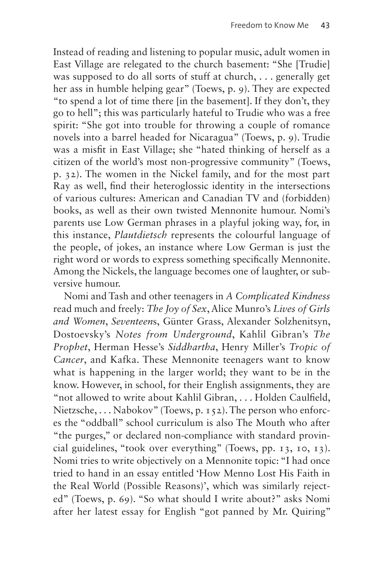Instead of reading and listening to popular music, adult women in East Village are relegated to the church basement: "She [Trudie] was supposed to do all sorts of stuff at church, . . . generally get her ass in humble helping gear" (Toews, p. 9). They are expected "to spend a lot of time there [in the basement]. If they don't, they go to hell"; this was particularly hateful to Trudie who was a free spirit: "She got into trouble for throwing a couple of romance novels into a barrel headed for Nicaragua" (Toews, p. 9). Trudie was a misfit in East Village; she "hated thinking of herself as a citizen of the world's most non-progressive community" (Toews, p. 32). The women in the Nickel family, and for the most part Ray as well, find their heteroglossic identity in the intersections of various cultures: American and Canadian TV and (forbidden) books, as well as their own twisted Mennonite humour. Nomi's parents use Low German phrases in a playful joking way, for, in this instance, *Plautdietsch* represents the colourful language of the people, of jokes, an instance where Low German is just the right word or words to express something specifically Mennonite. Among the Nickels, the language becomes one of laughter, or subversive humour.

Nomi and Tash and other teenagers in *A Complicated Kindness*  read much and freely: *The Joy of Sex*, Alice Munro's *Lives of Girls and Women*, *Seventeen*s, Günter Grass, Alexander Solzhenitsyn, Dostoevsky's *Notes from Underground*, Kahlil Gibran's *The Prophet*, Herman Hesse's *Siddhartha*, Henry Miller's *Tropic of Cancer*, and Kafka. These Mennonite teenagers want to know what is happening in the larger world; they want to be in the know. However, in school, for their English assignments, they are "not allowed to write about Kahlil Gibran, . . . Holden Caulfield, Nietzsche, ... Nabokov" (Toews, p. 152). The person who enforces the "oddball" school curriculum is also The Mouth who after "the purges," or declared non-compliance with standard provincial guidelines, "took over everything" (Toews, pp. 13, 10, 13). Nomi tries to write objectively on a Mennonite topic: "I had once tried to hand in an essay entitled 'How Menno Lost His Faith in the Real World (Possible Reasons)', which was similarly rejected" (Toews, p. 69). "So what should I write about?" asks Nomi after her latest essay for English "got panned by Mr. Quiring"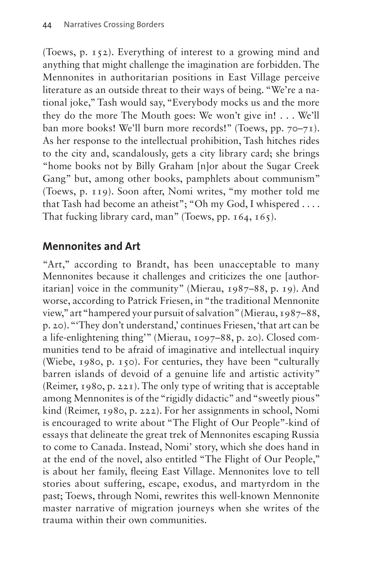(Toews, p. 152). Everything of interest to a growing mind and anything that might challenge the imagination are forbidden. The Mennonites in authoritarian positions in East Village perceive literature as an outside threat to their ways of being. "We're a national joke," Tash would say, "Everybody mocks us and the more they do the more The Mouth goes: We won't give in! . . . We'll ban more books! We'll burn more records!" (Toews, pp. 70–71). As her response to the intellectual prohibition, Tash hitches rides to the city and, scandalously, gets a city library card; she brings "home books not by Billy Graham [n]or about the Sugar Creek Gang" but, among other books, pamphlets about communism" (Toews, p. 119). Soon after, Nomi writes, "my mother told me that Tash had become an atheist"; "Oh my God, I whispered . . . . That fucking library card, man" (Toews, pp. 164, 165).

## **Mennonites and Art**

"Art," according to Brandt, has been unacceptable to many Mennonites because it challenges and criticizes the one [authoritarian] voice in the community" (Mierau, 1987–88, p. 19). And worse, according to Patrick Friesen, in "the traditional Mennonite view," art "hampered your pursuit of salvation" (Mierau, 1987–88, p. 20). "'They don't understand,' continues Friesen, 'that art can be a life-enlightening thing'" (Mierau, 1097–88, p. 20). Closed communities tend to be afraid of imaginative and intellectual inquiry (Wiebe, 1980, p. 150). For centuries, they have been "culturally barren islands of devoid of a genuine life and artistic activity" (Reimer, 1980, p. 221). The only type of writing that is acceptable among Mennonites is of the "rigidly didactic" and "sweetly pious" kind (Reimer, 1980, p. 222). For her assignments in school, Nomi is encouraged to write about "The Flight of Our People"-kind of essays that delineate the great trek of Mennonites escaping Russia to come to Canada. Instead, Nomi' story, which she does hand in at the end of the novel, also entitled "The Flight of Our People," is about her family, fleeing East Village. Mennonites love to tell stories about suffering, escape, exodus, and martyrdom in the past; Toews, through Nomi, rewrites this well-known Mennonite master narrative of migration journeys when she writes of the trauma within their own communities.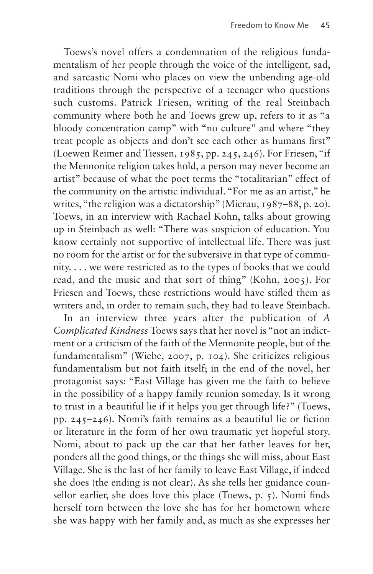Toews's novel offers a condemnation of the religious fundamentalism of her people through the voice of the intelligent, sad, and sarcastic Nomi who places on view the unbending age-old traditions through the perspective of a teenager who questions such customs. Patrick Friesen, writing of the real Steinbach community where both he and Toews grew up, refers to it as "a bloody concentration camp" with "no culture" and where "they treat people as objects and don't see each other as humans first" (Loewen Reimer and Tiessen, 1985, pp. 245, 246). For Friesen, "if the Mennonite religion takes hold, a person may never become an artist" because of what the poet terms the "totalitarian" effect of the community on the artistic individual. "For me as an artist," he writes, "the religion was a dictatorship" (Mierau, 1987–88, p. 20). Toews, in an interview with Rachael Kohn, talks about growing up in Steinbach as well: "There was suspicion of education. You know certainly not supportive of intellectual life. There was just no room for the artist or for the subversive in that type of community. . . . we were restricted as to the types of books that we could read, and the music and that sort of thing" (Kohn, 2005). For Friesen and Toews, these restrictions would have stifled them as writers and, in order to remain such, they had to leave Steinbach.

In an interview three years after the publication of *A Complicated Kindness* Toews says that her novel is "not an indictment or a criticism of the faith of the Mennonite people, but of the fundamentalism" (Wiebe, 2007, p. 104). She criticizes religious fundamentalism but not faith itself; in the end of the novel, her protagonist says: "East Village has given me the faith to believe in the possibility of a happy family reunion someday. Is it wrong to trust in a beautiful lie if it helps you get through life?" (Toews, pp. 245–246). Nomi's faith remains as a beautiful lie or fiction or literature in the form of her own traumatic yet hopeful story. Nomi, about to pack up the car that her father leaves for her, ponders all the good things, or the things she will miss, about East Village. She is the last of her family to leave East Village, if indeed she does (the ending is not clear). As she tells her guidance counsellor earlier, she does love this place (Toews, p. 5). Nomi finds herself torn between the love she has for her hometown where she was happy with her family and, as much as she expresses her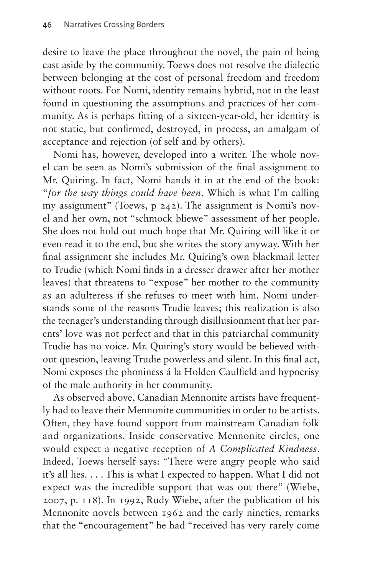desire to leave the place throughout the novel, the pain of being cast aside by the community. Toews does not resolve the dialectic between belonging at the cost of personal freedom and freedom without roots. For Nomi, identity remains hybrid, not in the least found in questioning the assumptions and practices of her community. As is perhaps fitting of a sixteen-year-old, her identity is not static, but confirmed, destroyed, in process, an amalgam of acceptance and rejection (of self and by others).

Nomi has, however, developed into a writer. The whole novel can be seen as Nomi's submission of the final assignment to Mr. Quiring. In fact, Nomi hands it in at the end of the book: "*for the way things could have been*. Which is what I'm calling my assignment" (Toews, p 242). The assignment is Nomi's novel and her own, not "schmock bliewe" assessment of her people. She does not hold out much hope that Mr. Quiring will like it or even read it to the end, but she writes the story anyway. With her final assignment she includes Mr. Quiring's own blackmail letter to Trudie (which Nomi finds in a dresser drawer after her mother leaves) that threatens to "expose" her mother to the community as an adulteress if she refuses to meet with him. Nomi understands some of the reasons Trudie leaves; this realization is also the teenager's understanding through disillusionment that her parents' love was not perfect and that in this patriarchal community Trudie has no voice. Mr. Quiring's story would be believed without question, leaving Trudie powerless and silent. In this final act, Nomi exposes the phoniness á la Holden Caulfield and hypocrisy of the male authority in her community.

As observed above, Canadian Mennonite artists have frequently had to leave their Mennonite communities in order to be artists. Often, they have found support from mainstream Canadian folk and organizations. Inside conservative Mennonite circles, one would expect a negative reception of *A Complicated Kindness*. Indeed, Toews herself says: "There were angry people who said it's all lies. . . . This is what I expected to happen. What I did not expect was the incredible support that was out there" (Wiebe, 2007, p. 118). In 1992, Rudy Wiebe, after the publication of his Mennonite novels between 1962 and the early nineties, remarks that the "encouragement" he had "received has very rarely come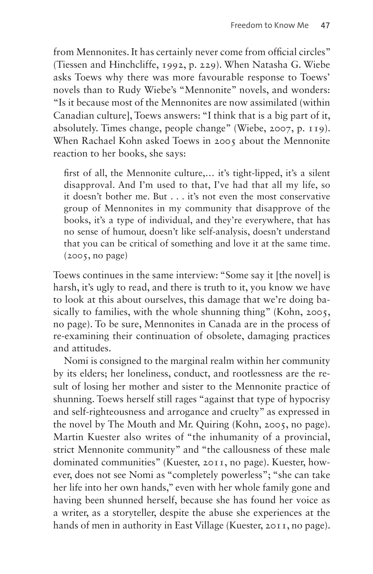from Mennonites. It has certainly never come from official circles" (Tiessen and Hinchcliffe, 1992, p. 229). When Natasha G. Wiebe asks Toews why there was more favourable response to Toews' novels than to Rudy Wiebe's "Mennonite" novels, and wonders: "Is it because most of the Mennonites are now assimilated (within Canadian culture], Toews answers: "I think that is a big part of it, absolutely. Times change, people change" (Wiebe, 2007, p. 119). When Rachael Kohn asked Toews in 2005 about the Mennonite reaction to her books, she says:

first of all, the Mennonite culture,… it's tight-lipped, it's a silent disapproval. And I'm used to that, I've had that all my life, so it doesn't bother me. But . . . it's not even the most conservative group of Mennonites in my community that disapprove of the books, it's a type of individual, and they're everywhere, that has no sense of humour, doesn't like self-analysis, doesn't understand that you can be critical of something and love it at the same time. (2005, no page)

Toews continues in the same interview: "Some say it [the novel] is harsh, it's ugly to read, and there is truth to it, you know we have to look at this about ourselves, this damage that we're doing basically to families, with the whole shunning thing" (Kohn, 2005, no page). To be sure, Mennonites in Canada are in the process of re-examining their continuation of obsolete, damaging practices and attitudes.

Nomi is consigned to the marginal realm within her community by its elders; her loneliness, conduct, and rootlessness are the result of losing her mother and sister to the Mennonite practice of shunning. Toews herself still rages "against that type of hypocrisy and self-righteousness and arrogance and cruelty" as expressed in the novel by The Mouth and Mr. Quiring (Kohn, 2005, no page). Martin Kuester also writes of "the inhumanity of a provincial, strict Mennonite community" and "the callousness of these male dominated communities" (Kuester, 2011, no page). Kuester, however, does not see Nomi as "completely powerless"; "she can take her life into her own hands," even with her whole family gone and having been shunned herself, because she has found her voice as a writer, as a storyteller, despite the abuse she experiences at the hands of men in authority in East Village (Kuester, 2011, no page).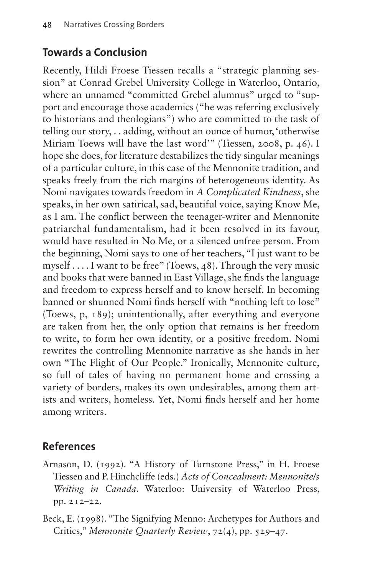#### **Towards a Conclusion**

Recently, Hildi Froese Tiessen recalls a "strategic planning session" at Conrad Grebel University College in Waterloo, Ontario, where an unnamed "committed Grebel alumnus" urged to "support and encourage those academics ("he was referring exclusively to historians and theologians") who are committed to the task of telling our story, . . adding, without an ounce of humor, 'otherwise Miriam Toews will have the last word'" (Tiessen, 2008, p. 46). I hope she does, for literature destabilizes the tidy singular meanings of a particular culture, in this case of the Mennonite tradition, and speaks freely from the rich margins of heterogeneous identity. As Nomi navigates towards freedom in *A Complicated Kindness*, she speaks, in her own satirical, sad, beautiful voice, saying Know Me, as I am. The conflict between the teenager-writer and Mennonite patriarchal fundamentalism, had it been resolved in its favour, would have resulted in No Me, or a silenced unfree person. From the beginning, Nomi says to one of her teachers, "I just want to be myself . . . . I want to be free" (Toews, 48). Through the very music and books that were banned in East Village, she finds the language and freedom to express herself and to know herself. In becoming banned or shunned Nomi finds herself with "nothing left to lose" (Toews, p, 189); unintentionally, after everything and everyone are taken from her, the only option that remains is her freedom to write, to form her own identity, or a positive freedom. Nomi rewrites the controlling Mennonite narrative as she hands in her own "The Flight of Our People." Ironically, Mennonite culture, so full of tales of having no permanent home and crossing a variety of borders, makes its own undesirables, among them artists and writers, homeless. Yet, Nomi finds herself and her home among writers.

## **References**

- Arnason, D. (1992). "A History of Turnstone Press," in H. Froese Tiessen and P. Hinchcliffe (eds.) *Acts of Concealment: Mennonite/s Writing in Canada*. Waterloo: University of Waterloo Press, pp. 212–22.
- Beck, E. (1998). "The Signifying Menno: Archetypes for Authors and Critics," *Mennonite Quarterly Review*, 72(4), pp. 529–47.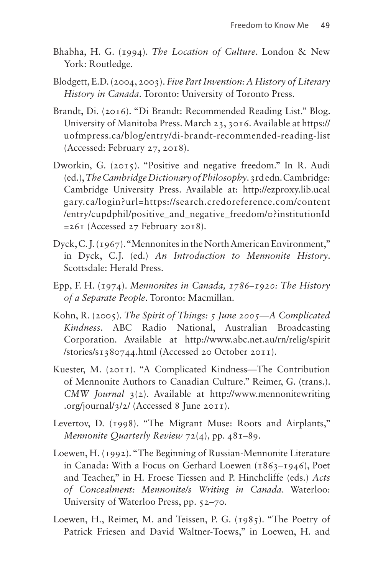- Bhabha, H. G. (1994). *The Location of Culture*. London & New York: Routledge.
- Blodgett, E.D. (2004, 2003). *Five Part Invention: A History of Literary History in Canada*. Toronto: University of Toronto Press.
- Brandt, Di. (2016). "Di Brandt: Recommended Reading List." Blog. University of Manitoba Press. March 23, 3016. Available at [https://](https://uofmpress.ca/blog/entry/di-brandt-recommended-reading-list) [uofmpress.ca/blog/entry/di-brandt-recommended-reading-list](https://uofmpress.ca/blog/entry/di-brandt-recommended-reading-list) (Accessed: February 27, 2018).
- Dworkin, G. (2015). "Positive and negative freedom." In R. Audi (ed.), *The Cambridge Dictionary of Philosophy*. 3rd edn. Cambridge: Cambridge University Press. Available at: [http://ezproxy.lib.ucal](http://ezproxy.lib.ucal
gary.ca/login?url=https://search.credoreference.com/content
/entry/cupdphil/positive_and_negative_freedom/0?institutionId
=261) [gary.ca/login?url=https://search.credoreference.com/content](http://ezproxy.lib.ucal
gary.ca/login?url=https://search.credoreference.com/content
/entry/cupdphil/positive_and_negative_freedom/0?institutionId
=261) [/entry/cupdphil/positive\\_and\\_negative\\_freedom/0?institutionId](http://ezproxy.lib.ucal
gary.ca/login?url=https://search.credoreference.com/content
/entry/cupdphil/positive_and_negative_freedom/0?institutionId
=261) [=261](http://ezproxy.lib.ucal
gary.ca/login?url=https://search.credoreference.com/content
/entry/cupdphil/positive_and_negative_freedom/0?institutionId
=261) (Accessed 27 February 2018).
- Dyck, C. J. (1967). "Mennonites in the North American Environment," in Dyck, C.J. (ed.) *An Introduction to Mennonite History*. Scottsdale: Herald Press.
- Epp, F. H. (1974). *Mennonites in Canada, 1786–1920: The History of a Separate People*. Toronto: Macmillan.
- Kohn, R. (2005). *The Spirit of Things: 5 June 2005—A Complicated Kindness*. ABC Radio National, Australian Broadcasting Corporation. Available at [http://www.abc.net.au/rn/relig/spirit](http://www.‌abc.net.au/‌rn/relig/‌spirit/‌stories/‌s1380744.html) [/stories/s1380744.html](http://www.‌abc.net.au/‌rn/relig/‌spirit/‌stories/‌s1380744.html) (Accessed 20 October 2011).
- Kuester, M. (2011). "A Complicated Kindness—The Contribution of Mennonite Authors to Canadian Culture." Reimer, G. (trans.). *CMW Journal* 3(2). Available at [http://www.mennonitewriting](http://www.‌mennonitewriting.‌org/‌journal/3/2/) [.org/journal/3/2/](http://www.‌mennonitewriting.‌org/‌journal/3/2/) (Accessed 8 June 2011).
- Levertov, D. (1998). "The Migrant Muse: Roots and Airplants," *Mennonite Quarterly Review* 72(4), pp. 481–89.
- Loewen, H. (1992). "The Beginning of Russian-Mennonite Literature in Canada: With a Focus on Gerhard Loewen (1863–1946), Poet and Teacher," in H. Froese Tiessen and P. Hinchcliffe (eds.) *Acts of Concealment: Mennonite/s Writing in Canada*. Waterloo: University of Waterloo Press, pp. 52–70.
- Loewen, H., Reimer, M. and Teissen, P. G. (1985). "The Poetry of Patrick Friesen and David Waltner-Toews," in Loewen, H. and